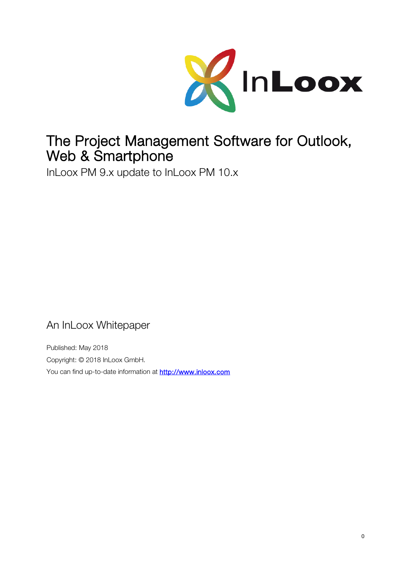

# The Project Management Software for Outlook, Web & Smartphone

InLoox PM 9.x update to InLoox PM 10.x

An InLoox Whitepaper

Published: May 2018 Copyright: © 2018 InLoox GmbH. You can find up-to-date information at [http://www.inloox.com](http://www.inloox.com/)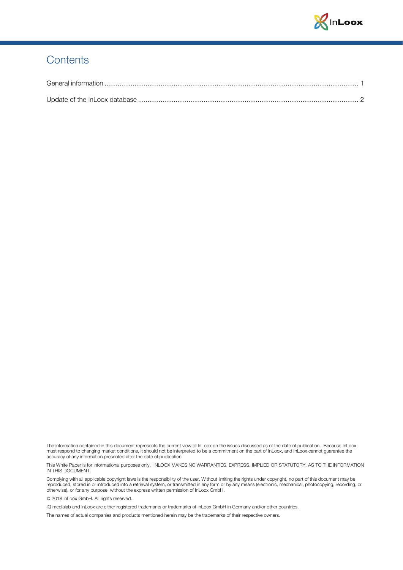

#### **Contents**

The information contained in this document represents the current view of InLoox on the issues discussed as of the date of publication. Because InLoox must respond to changing market conditions, it should not be interpreted to be a commitment on the part of InLoox, and InLoox cannot guarantee the accuracy of any information presented after the date of publication.

This White Paper is for informational purposes only. INLOOX MAKES NO WARRANTIES, EXPRESS, IMPLIED OR STATUTORY, AS TO THE INFORMATION IN THIS DOCUMENT.

Complying with all applicable copyright laws is the responsibility of the user. Without limiting the rights under copyright, no part of this document may be reproduced, stored in or introduced into a retrieval system, or transmitted in any form or by any means (electronic, mechanical, photocopying, recording, or otherwise), or for any purpose, without the express written permission of InLoox GmbH.

© 2018 InLoox GmbH. All rights reserved.

IQ medialab and InLoox are either registered trademarks or trademarks of InLoox GmbH in Germany and/or other countries.

The names of actual companies and products mentioned herein may be the trademarks of their respective owners.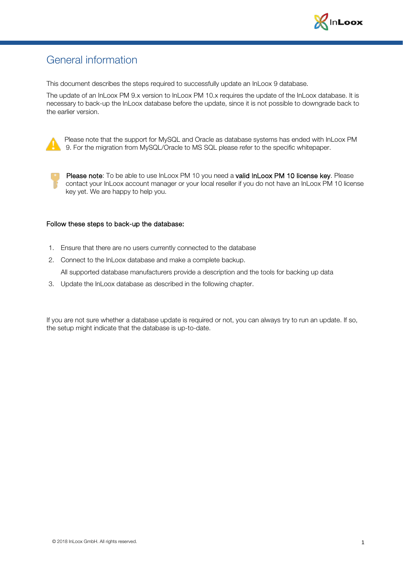

### <span id="page-2-0"></span>General information

This document describes the steps required to successfully update an InLoox 9 database.

The update of an InLoox PM 9.x version to InLoox PM 10.x requires the update of the InLoox database. It is necessary to back-up the InLoox database before the update, since it is not possible to downgrade back to the earlier version.



Please note that the support for MySQL and Oracle as database systems has ended with InLoox PM 9. For the migration from MySQL/Oracle to MS SQL please refer to the specific whitepaper.

Please note: To be able to use InLoox PM 10 you need a valid InLoox PM 10 license key. Please contact your InLoox account manager or your local reseller if you do not have an InLoox PM 10 license key yet. We are happy to help you.

#### Follow these steps to back-up the database:

- 1. Ensure that there are no users currently connected to the database
- 2. Connect to the InLoox database and make a complete backup.

All supported database manufacturers provide a description and the tools for backing up data

3. Update the InLoox database as described in the following chapter.

If you are not sure whether a database update is required or not, you can always try to run an update. If so, the setup might indicate that the database is up-to-date.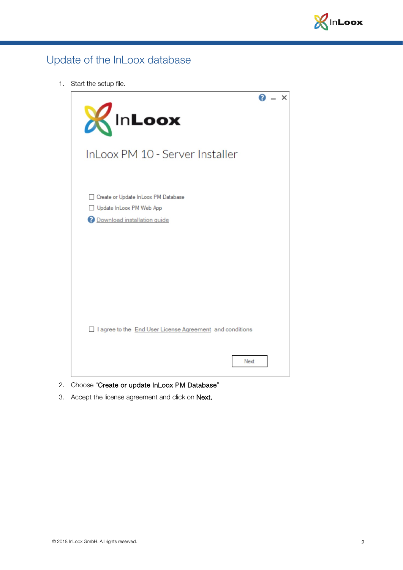

## <span id="page-3-0"></span>Update of the InLoox database

1. Start the setup file.



- 2. Choose "Create or update InLoox PM Database"
- 3. Accept the license agreement and click on Next.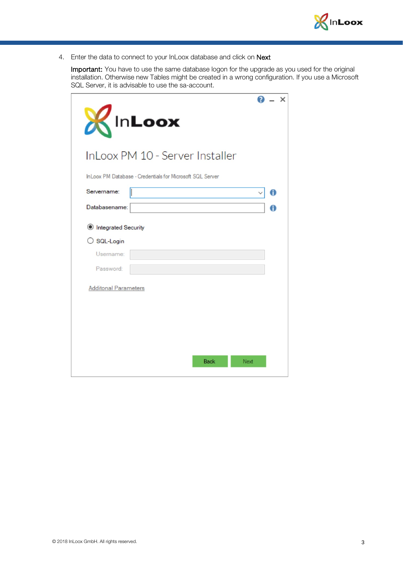

4. Enter the data to connect to your InLoox database and click on Next

Important: You have to use the same database logon for the upgrade as you used for the original installation. Otherwise new Tables might be created in a wrong configuration. If you use a Microsoft SQL Server, it is advisable to use the sa-account.

| <b>InLoox</b><br>Ж                                        | ×    |
|-----------------------------------------------------------|------|
| InLoox PM 10 - Server Installer                           |      |
| InLoox PM Database - Credentials for Microsoft SQL Server |      |
| Servername:                                               | A    |
| Databasename:                                             | A    |
| <b>Integrated Security</b>                                |      |
| ○ SQL-Login                                               |      |
| Username:                                                 |      |
| Password:                                                 |      |
| <b>Additonal Parameters</b>                               |      |
|                                                           |      |
|                                                           |      |
|                                                           |      |
|                                                           |      |
| <b>Back</b>                                               | Next |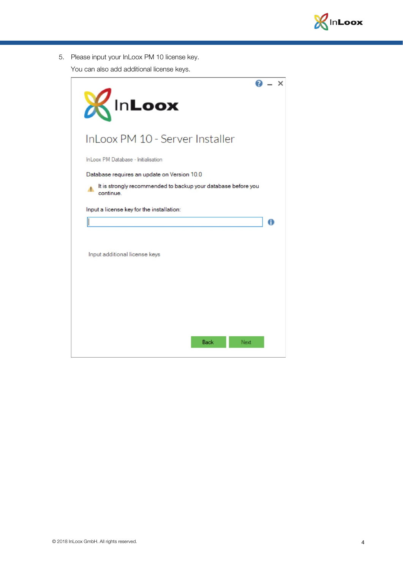

5. Please input your InLoox PM 10 license key.

You can also add additional license keys.

|                                                                                 | × |
|---------------------------------------------------------------------------------|---|
| KInLoox                                                                         |   |
| InLoox PM 10 - Server Installer                                                 |   |
| InLoox PM Database - Initialisation                                             |   |
| Database requires an update on Version 10.0                                     |   |
| It is strongly recommended to backup your database before you<br>А.<br>continue |   |
| Input a license key for the installation:                                       |   |
|                                                                                 | A |
|                                                                                 |   |
|                                                                                 |   |
| Input additional license keys                                                   |   |
|                                                                                 |   |
|                                                                                 |   |
|                                                                                 |   |
|                                                                                 |   |
|                                                                                 |   |
| <b>Back</b><br>Next                                                             |   |
|                                                                                 |   |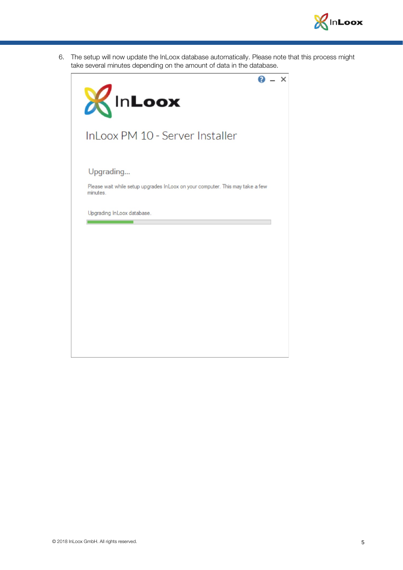

6. The setup will now update the InLoox database automatically. Please note that this process might take several minutes depending on the amount of data in the database.

| KInLoox                                                                                   |
|-------------------------------------------------------------------------------------------|
| InLoox PM 10 - Server Installer                                                           |
| Upgrading                                                                                 |
| Please wait while setup upgrades InLoox on your computer. This may take a few<br>minutes. |
| Upgrading InLoox database.                                                                |
|                                                                                           |
|                                                                                           |
|                                                                                           |
|                                                                                           |
|                                                                                           |
|                                                                                           |
|                                                                                           |